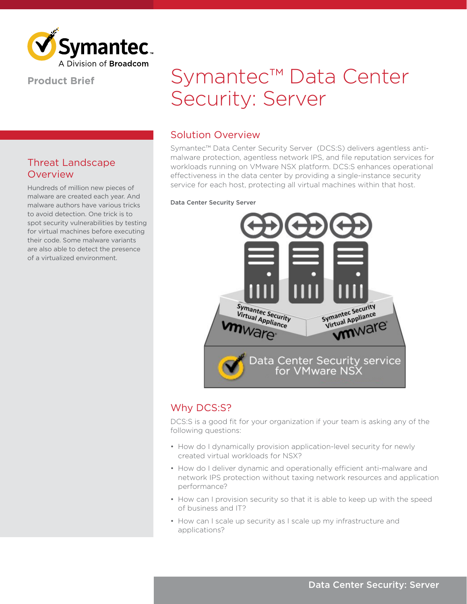

#### **Product Brief**

## Threat Landscape **Overview**

Hundreds of million new pieces of malware are created each year. And malware authors have various tricks to avoid detection. One trick is to spot security vulnerabilities by testing for virtual machines before executing their code. Some malware variants are also able to detect the presence of a virtualized environment.

# Symantec™ Data Center Security: Server

## Solution Overview

Symantec™ Data Center Security Server (DCS:S) delivers agentless antimalware protection, agentless network IPS, and file reputation services for workloads running on VMware NSX platform. DCS:S enhances operational effectiveness in the data center by providing a single-instance security service for each host, protecting all virtual machines within that host.

#### Data Center Security Server



## Why DCS:S?

DCS:S is a good fit for your organization if your team is asking any of the following questions:

- How do I dynamically provision application-level security for newly created virtual workloads for NSX?
- How do I deliver dynamic and operationally efficient anti-malware and network IPS protection without taxing network resources and application performance?
- How can I provision security so that it is able to keep up with the speed of business and IT?
- How can I scale up security as I scale up my infrastructure and applications?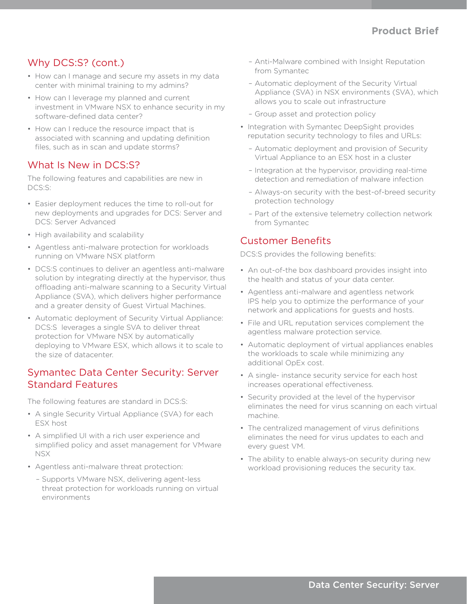## Why DCS:S? (cont.)

- How can I manage and secure my assets in my data center with minimal training to my admins?
- How can I leverage my planned and current investment in VMware NSX to enhance security in my software-defined data center?
- How can I reduce the resource impact that is associated with scanning and updating definition files, such as in scan and update storms?

## What Is New in DCS:S?

The following features and capabilities are new in DCS:S:

- Easier deployment reduces the time to roll-out for new deployments and upgrades for DCS: Server and DCS: Server Advanced
- High availability and scalability
- Agentless anti-malware protection for workloads running on VMware NSX platform
- DCS:S continues to deliver an agentless anti-malware solution by integrating directly at the hypervisor, thus offloading anti-malware scanning to a Security Virtual Appliance (SVA), which delivers higher performance and a greater density of Guest Virtual Machines.
- Automatic deployment of Security Virtual Appliance: DCS:S leverages a single SVA to deliver threat protection for VMware NSX by automatically deploying to VMware ESX, which allows it to scale to the size of datacenter.

#### Symantec Data Center Security: Server Standard Features

The following features are standard in DCS:S:

- A single Security Virtual Appliance (SVA) for each ESX host
- A simplified UI with a rich user experience and simplified policy and asset management for VMware NSX
- Agentless anti-malware threat protection:
	- Supports VMware NSX, delivering agent-less threat protection for workloads running on virtual environments
- Anti-Malware combined with Insight Reputation from Symantec
- Automatic deployment of the Security Virtual Appliance (SVA) in NSX environments (SVA), which allows you to scale out infrastructure
- Group asset and protection policy
- Integration with Symantec DeepSight provides reputation security technology to files and URLs:
	- Automatic deployment and provision of Security Virtual Appliance to an ESX host in a cluster
	- Integration at the hypervisor, providing real-time detection and remediation of malware infection
	- Always-on security with the best-of-breed security protection technology
	- Part of the extensive telemetry collection network from Symantec

#### Customer Benefits

DCS:S provides the following benefits:

- An out-of-the box dashboard provides insight into the health and status of your data center.
- Agentless anti-malware and agentless network IPS help you to optimize the performance of your network and applications for guests and hosts.
- File and URL reputation services complement the agentless malware protection service.
- Automatic deployment of virtual appliances enables the workloads to scale while minimizing any additional OpEx cost.
- A single- instance security service for each host increases operational effectiveness.
- Security provided at the level of the hypervisor eliminates the need for virus scanning on each virtual machine.
- The centralized management of virus definitions eliminates the need for virus updates to each and every guest VM.
- The ability to enable always-on security during new workload provisioning reduces the security tax.